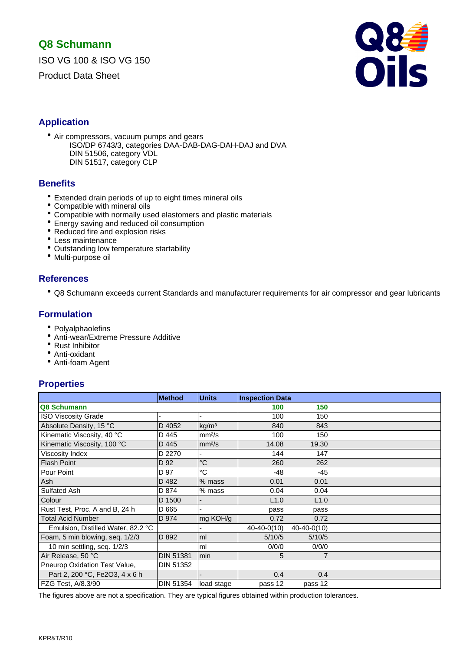ISO VG 100 & ISO VG 150

Product Data Sheet



### **Application**

- Air compressors, vacuum pumps and gears
	- ISO/DP 6743/3, categories DAA-DAB-DAG-DAH-DAJ and DVA DIN 51506, category VDL DIN 51517, category CLP

#### **Benefits**

- Extended drain periods of up to eight times mineral oils
- Compatible with mineral oils
- Compatible with normally used elastomers and plastic materials
- Energy saving and reduced oil consumption
- Reduced fire and explosion risks
- Less maintenance
- Outstanding low temperature startability
- Multi-purpose oil

### **References**

• Q8 Schumann exceeds current Standards and manufacturer requirements for air compressor and gear lubricants

### **Formulation**

- Polyalphaolefins
- Anti-wear/Extreme Pressure Additive
- Rust Inhibitor
- Anti-oxidant
- Anti-foam Agent

### **Properties**

|                                    | <b>Method</b>    | <b>Units</b>       | <b>Inspection Data</b> |               |  |
|------------------------------------|------------------|--------------------|------------------------|---------------|--|
| Q8 Schumann                        |                  |                    | 100                    | 150           |  |
| <b>ISO Viscosity Grade</b>         |                  |                    | 100                    | 150           |  |
| Absolute Density, 15 °C            | D 4052           | kg/m <sup>3</sup>  | 840                    | 843           |  |
| Kinematic Viscosity, 40 °C         | D 445            | mm <sup>2</sup> /s | 100                    | 150           |  |
| Kinematic Viscosity, 100 °C        | D 445            | mm <sup>2</sup> /s | 14.08                  | 19.30         |  |
| Viscosity Index                    | D 2270           |                    | 144                    | 147           |  |
| <b>Flash Point</b>                 | D 92             | $^{\circ}C$        | 260                    | 262           |  |
| Pour Point                         | D 97             | °C                 | $-48$                  | -45           |  |
| Ash                                | D 482            | $%$ mass           | 0.01                   | 0.01          |  |
| Sulfated Ash                       | D 874            | % mass             | 0.04                   | 0.04          |  |
| Colour                             | D 1500           |                    | L1.0                   | L1.0          |  |
| Rust Test, Proc. A and B, 24 h     | D 665            |                    | pass                   | pass          |  |
| <b>Total Acid Number</b>           | D 974            | mg KOH/g           | 0.72                   | 0.72          |  |
| Emulsion, Distilled Water, 82.2 °C |                  |                    | $40 - 40 - 0(10)$      | $40-40-0(10)$ |  |
| Foam, 5 min blowing, seq. 1/2/3    | D 892            | ml                 | 5/10/5                 | 5/10/5        |  |
| 10 min settling, seq. 1/2/3        |                  | ml                 | 0/0/0                  | 0/0/0         |  |
| Air Release, 50 °C                 | <b>DIN 51381</b> | min                | 5                      | 7             |  |
| Pneurop Oxidation Test Value,      | <b>DIN 51352</b> |                    |                        |               |  |
| Part 2, 200 °C, Fe2O3, 4 x 6 h     |                  |                    | 0.4                    | 0.4           |  |
| FZG Test, A/8.3/90                 | DIN 51354        | load stage         | pass 12                | pass 12       |  |

The figures above are not a specification. They are typical figures obtained within production tolerances.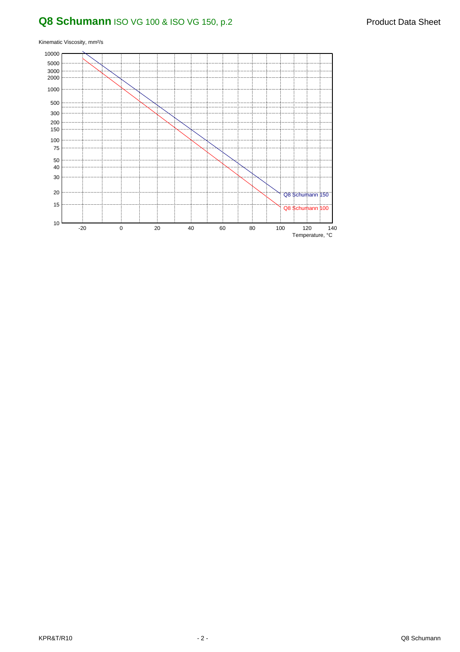## **Q8 Schumann** ISO VG 100 & ISO VG 150, p.2 Product Data Sheet

Kinematic Viscosity, mm²/s

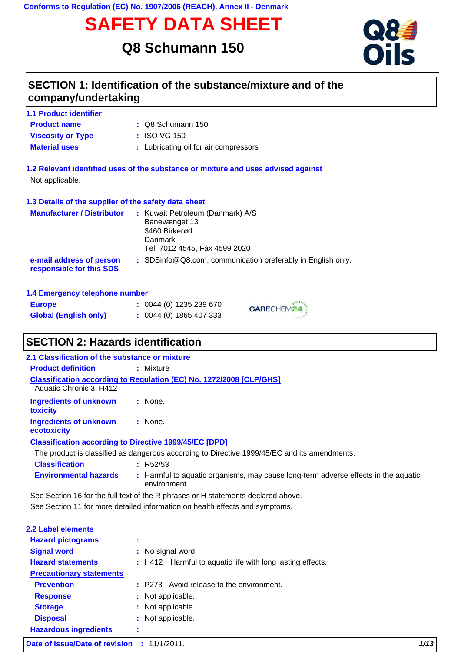**Conforms to Regulation (EC) No. 1907/2006 (REACH), Annex II - Denmark**

# **SAFETY DATA SHEET**

## **Q8 Schumann 150**



## **SECTION 1: Identification of the substance/mixture and of the company/undertaking**

| <b>1.1 Product identifier</b> |  |
|-------------------------------|--|
| <b>Product name</b>           |  |
|                               |  |

- Q8 Schumann 150 **:**
- **Viscosity or Type :** ISO VG 150
- **Material uses : Lubricating oil for air compressors**
- **1.2 Relevant identified uses of the substance or mixture and uses advised against** Not applicable.

#### **1.3 Details of the supplier of the safety data sheet**

| <b>Manufacturer / Distributor</b>                    | : Kuwait Petroleum (Danmark) A/S<br>Banevænget 13<br>3460 Birkerød<br>Danmark<br>Tel. 7012 4545, Fax 4599 2020 |
|------------------------------------------------------|----------------------------------------------------------------------------------------------------------------|
| e-mail address of person<br>responsible for this SDS | : SDSinfo $@Q8$ com, communication preferably in English only.                                                 |

#### **1.4 Emergency telephone number**

| <b>Europe</b>                | : 0044(0) 1235 239 670 |
|------------------------------|------------------------|
| <b>Global (English only)</b> | : 0044(0) 1865 407 333 |

## **SECTION 2: Hazards identification**

| 2.1 Classification of the substance or mixture                |                                                                                              |  |  |
|---------------------------------------------------------------|----------------------------------------------------------------------------------------------|--|--|
| <b>Product definition</b>                                     | : Mixture                                                                                    |  |  |
| Aquatic Chronic 3, H412                                       | Classification according to Regulation (EC) No. 1272/2008 [CLP/GHS]                          |  |  |
| Ingredients of unknown<br><b>toxicity</b>                     | : None.                                                                                      |  |  |
| Ingredients of unknown<br>ecotoxicity                         | : None.                                                                                      |  |  |
| <b>Classification according to Directive 1999/45/EC [DPD]</b> |                                                                                              |  |  |
|                                                               | The product is classified as dangerous according to Directive 1999/45/EC and its amendments. |  |  |
| <b>Classification</b>                                         | R52/53                                                                                       |  |  |
| <b>Environmental hazards</b>                                  | : Harmful to aquatic organisms, may cause long-term adverse effects in the aquatic           |  |  |

CARECHEM24

See Section 11 for more detailed information on health effects and symptoms. environment. See Section 16 for the full text of the R phrases or H statements declared above.

| 2.2 Label elements              |                     |                                                           |      |
|---------------------------------|---------------------|-----------------------------------------------------------|------|
| <b>Hazard pictograms</b>        | $\blacksquare$<br>× |                                                           |      |
| <b>Signal word</b>              |                     | : No signal word.                                         |      |
| <b>Hazard statements</b>        |                     | : H412 Harmful to aquatic life with long lasting effects. |      |
| <b>Precautionary statements</b> |                     |                                                           |      |
| <b>Prevention</b>               |                     | : P273 - Avoid release to the environment.                |      |
| <b>Response</b>                 |                     | : Not applicable.                                         |      |
| <b>Storage</b>                  |                     | : Not applicable.                                         |      |
| <b>Disposal</b>                 |                     | : Not applicable.                                         |      |
| <b>Hazardous ingredients</b>    | ×<br>×              |                                                           |      |
| Date of issue/Date of revision  |                     | : 11/1/2011.                                              | 1/13 |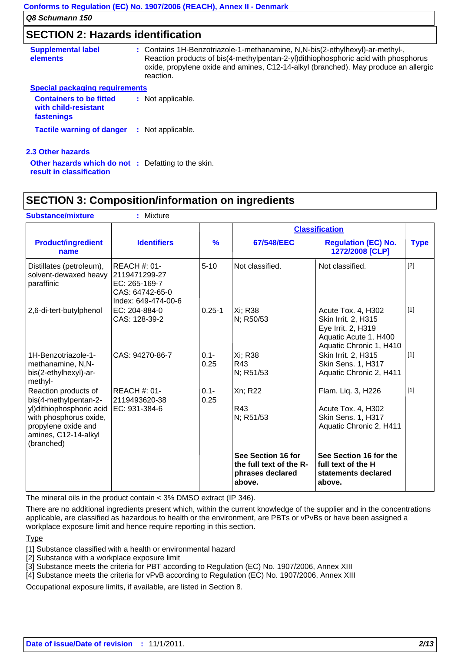### **SECTION 2: Hazards identification**

| <b>Supplemental label</b><br><b>elements</b> | : Contains 1H-Benzotriazole-1-methanamine, N,N-bis(2-ethylhexyl)-ar-methyl-,<br>Reaction products of bis(4-methylpentan-2-yl)dithiophosphoric acid with phosphorus<br>oxide, propylene oxide and amines, C12-14-alkyl (branched). May produce an allergic<br>reaction. |
|----------------------------------------------|------------------------------------------------------------------------------------------------------------------------------------------------------------------------------------------------------------------------------------------------------------------------|
| <b>Special packaging requirements</b>        |                                                                                                                                                                                                                                                                        |

| <b>Containers to be fitted</b><br>with child-resistant<br>fastenings | : Not applicable. |
|----------------------------------------------------------------------|-------------------|
| <b>Tactile warning of danger</b>                                     | : Not applicable. |

#### **2.3 Other hazards**

**Other hazards which do not :** Defatting to the skin. **result in classification**

## **SECTION 3: Composition/information on ingredients**

| <b>Substance/mixture</b>                                                                                                                                          | : Mixture                                                                                       |                 |                                                                             |                                                                                                                     |             |
|-------------------------------------------------------------------------------------------------------------------------------------------------------------------|-------------------------------------------------------------------------------------------------|-----------------|-----------------------------------------------------------------------------|---------------------------------------------------------------------------------------------------------------------|-------------|
|                                                                                                                                                                   |                                                                                                 |                 |                                                                             | <b>Classification</b>                                                                                               |             |
| <b>Product/ingredient</b><br>name                                                                                                                                 | <b>Identifiers</b>                                                                              | $\frac{9}{6}$   | 67/548/EEC                                                                  | <b>Regulation (EC) No.</b><br>1272/2008 [CLP]                                                                       | <b>Type</b> |
| Distillates (petroleum),<br>solvent-dewaxed heavy<br>paraffinic                                                                                                   | <b>REACH #: 01-</b><br>2119471299-27<br>EC: 265-169-7<br>CAS: 64742-65-0<br>Index: 649-474-00-6 | $5 - 10$        | Not classified.                                                             | Not classified.                                                                                                     | $[2]$       |
| 2,6-di-tert-butylphenol                                                                                                                                           | EC: 204-884-0<br>CAS: 128-39-2                                                                  | $0.25 - 1$      | Xi; R38<br>N; R50/53                                                        | Acute Tox. 4, H302<br>Skin Irrit. 2, H315<br>Eye Irrit. 2, H319<br>Aquatic Acute 1, H400<br>Aquatic Chronic 1, H410 | $[1]$       |
| 1H-Benzotriazole-1-<br>methanamine, N,N-<br>bis(2-ethylhexyl)-ar-<br>methyl-                                                                                      | CAS: 94270-86-7                                                                                 | $0.1 -$<br>0.25 | Xi; R38<br>R43<br>N; R51/53                                                 | Skin Irrit. 2, H315<br>Skin Sens. 1, H317<br>Aquatic Chronic 2, H411                                                | $[1]$       |
| Reaction products of<br>bis(4-methylpentan-2-<br>yl) dithiophosphoric acid<br>with phosphorus oxide,<br>propylene oxide and<br>amines, C12-14-alkyl<br>(branched) | <b>REACH #: 01-</b><br>2119493620-38<br>EC: 931-384-6                                           | $0.1 -$<br>0.25 | Xn; R22<br>R43<br>N; R51/53                                                 | Flam. Liq. 3, H226<br>Acute Tox. 4, H302<br>Skin Sens. 1, H317<br>Aquatic Chronic 2, H411                           | $[1]$       |
|                                                                                                                                                                   |                                                                                                 |                 | See Section 16 for<br>the full text of the R-<br>phrases declared<br>above. | See Section 16 for the<br>full text of the H<br>statements declared<br>above.                                       |             |

The mineral oils in the product contain < 3% DMSO extract (IP 346).

There are no additional ingredients present which, within the current knowledge of the supplier and in the concentrations applicable, are classified as hazardous to health or the environment, are PBTs or vPvBs or have been assigned a workplace exposure limit and hence require reporting in this section.

Type

[1] Substance classified with a health or environmental hazard

[2] Substance with a workplace exposure limit

[3] Substance meets the criteria for PBT according to Regulation (EC) No. 1907/2006, Annex XIII

[4] Substance meets the criteria for vPvB according to Regulation (EC) No. 1907/2006, Annex XIII

Occupational exposure limits, if available, are listed in Section 8.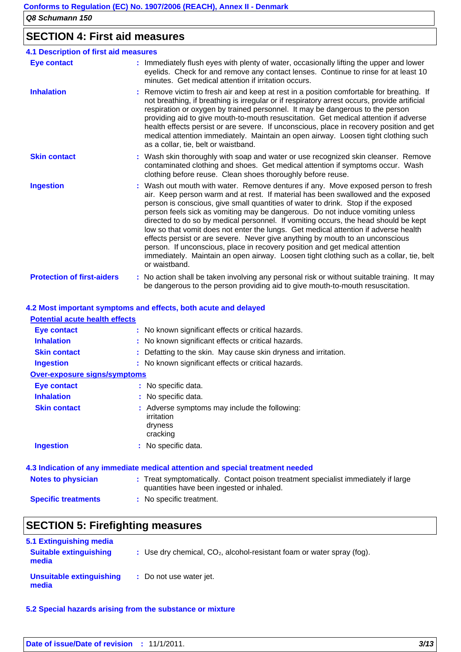## **SECTION 4: First aid measures**

| <b>4.1 Description of first aid measures</b> |                                                                                                                                                                                                                                                                                                                                                                                                                                                                                                                                                                                                                                                                                                                                                                                                         |  |  |  |
|----------------------------------------------|---------------------------------------------------------------------------------------------------------------------------------------------------------------------------------------------------------------------------------------------------------------------------------------------------------------------------------------------------------------------------------------------------------------------------------------------------------------------------------------------------------------------------------------------------------------------------------------------------------------------------------------------------------------------------------------------------------------------------------------------------------------------------------------------------------|--|--|--|
| <b>Eye contact</b>                           | : Immediately flush eyes with plenty of water, occasionally lifting the upper and lower<br>eyelids. Check for and remove any contact lenses. Continue to rinse for at least 10<br>minutes. Get medical attention if irritation occurs.                                                                                                                                                                                                                                                                                                                                                                                                                                                                                                                                                                  |  |  |  |
| <b>Inhalation</b>                            | : Remove victim to fresh air and keep at rest in a position comfortable for breathing. If<br>not breathing, if breathing is irregular or if respiratory arrest occurs, provide artificial<br>respiration or oxygen by trained personnel. It may be dangerous to the person<br>providing aid to give mouth-to-mouth resuscitation. Get medical attention if adverse<br>health effects persist or are severe. If unconscious, place in recovery position and get<br>medical attention immediately. Maintain an open airway. Loosen tight clothing such<br>as a collar, tie, belt or waistband.                                                                                                                                                                                                            |  |  |  |
| <b>Skin contact</b>                          | : Wash skin thoroughly with soap and water or use recognized skin cleanser. Remove<br>contaminated clothing and shoes. Get medical attention if symptoms occur. Wash<br>clothing before reuse. Clean shoes thoroughly before reuse.                                                                                                                                                                                                                                                                                                                                                                                                                                                                                                                                                                     |  |  |  |
| <b>Ingestion</b>                             | : Wash out mouth with water. Remove dentures if any. Move exposed person to fresh<br>air. Keep person warm and at rest. If material has been swallowed and the exposed<br>person is conscious, give small quantities of water to drink. Stop if the exposed<br>person feels sick as vomiting may be dangerous. Do not induce vomiting unless<br>directed to do so by medical personnel. If vomiting occurs, the head should be kept<br>low so that vomit does not enter the lungs. Get medical attention if adverse health<br>effects persist or are severe. Never give anything by mouth to an unconscious<br>person. If unconscious, place in recovery position and get medical attention<br>immediately. Maintain an open airway. Loosen tight clothing such as a collar, tie, belt<br>or waistband. |  |  |  |
| <b>Protection of first-aiders</b>            | : No action shall be taken involving any personal risk or without suitable training. It may<br>be dangerous to the person providing aid to give mouth-to-mouth resuscitation.                                                                                                                                                                                                                                                                                                                                                                                                                                                                                                                                                                                                                           |  |  |  |

#### **4.2 Most important symptoms and effects, both acute and delayed**

| <b>Potential acute health effects</b> |                                                                                                                                |
|---------------------------------------|--------------------------------------------------------------------------------------------------------------------------------|
| Eye contact                           | : No known significant effects or critical hazards.                                                                            |
| <b>Inhalation</b>                     | : No known significant effects or critical hazards.                                                                            |
| <b>Skin contact</b>                   | : Defatting to the skin. May cause skin dryness and irritation.                                                                |
| <b>Ingestion</b>                      | : No known significant effects or critical hazards.                                                                            |
| <b>Over-exposure signs/symptoms</b>   |                                                                                                                                |
| Eye contact                           | : No specific data.                                                                                                            |
| <b>Inhalation</b>                     | : No specific data.                                                                                                            |
| <b>Skin contact</b>                   | : Adverse symptoms may include the following:<br>irritation<br>dryness<br>cracking                                             |
| <b>Ingestion</b>                      | : No specific data.                                                                                                            |
|                                       | 4.3 Indication of any immediate medical attention and special treatment needed                                                 |
| <b>Notes to physician</b>             | : Treat symptomatically. Contact poison treatment specialist immediately if large<br>quantities have been ingested or inhaled. |
| <b>Specific treatments</b>            | : No specific treatment.                                                                                                       |

# **SECTION 5: Firefighting measures**

| 5.1 Extinguishing media                |                                                                          |
|----------------------------------------|--------------------------------------------------------------------------|
| <b>Suitable extinguishing</b><br>media | : Use dry chemical, $CO2$ , alcohol-resistant foam or water spray (fog). |
| Unsuitable extinguishing<br>media      | : Do not use water jet.                                                  |

**5.2 Special hazards arising from the substance or mixture**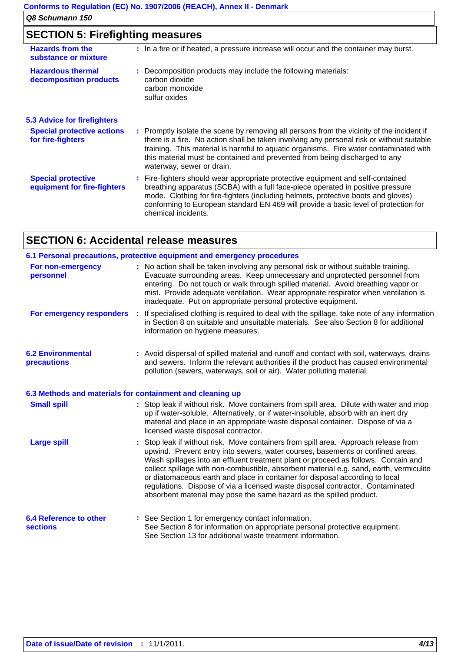## **SECTION 5: Firefighting measures**

| <b>Hazards from the</b><br>substance or mixture          | : In a fire or if heated, a pressure increase will occur and the container may burst.                                                                                                                                                                                                                                                                                                      |
|----------------------------------------------------------|--------------------------------------------------------------------------------------------------------------------------------------------------------------------------------------------------------------------------------------------------------------------------------------------------------------------------------------------------------------------------------------------|
| <b>Hazardous thermal</b><br>decomposition products       | Decomposition products may include the following materials:<br>carbon dioxide<br>carbon monoxide<br>sulfur oxides                                                                                                                                                                                                                                                                          |
| <b>5.3 Advice for firefighters</b>                       |                                                                                                                                                                                                                                                                                                                                                                                            |
| <b>Special protective actions</b><br>for fire-fighters   | : Promptly isolate the scene by removing all persons from the vicinity of the incident if<br>there is a fire. No action shall be taken involving any personal risk or without suitable<br>training. This material is harmful to aquatic organisms. Fire water contaminated with<br>this material must be contained and prevented from being discharged to any<br>waterway, sewer or drain. |
| <b>Special protective</b><br>equipment for fire-fighters | : Fire-fighters should wear appropriate protective equipment and self-contained<br>breathing apparatus (SCBA) with a full face-piece operated in positive pressure<br>mode. Clothing for fire-fighters (including helmets, protective boots and gloves)<br>conforming to European standard EN 469 will provide a basic level of protection for<br>chemical incidents.                      |

## **SECTION 6: Accidental release measures**

|                                                           | 6.1 Personal precautions, protective equipment and emergency procedures                                                                                                                                                                                                                                                                                                                                                                                                                                                                                                                       |
|-----------------------------------------------------------|-----------------------------------------------------------------------------------------------------------------------------------------------------------------------------------------------------------------------------------------------------------------------------------------------------------------------------------------------------------------------------------------------------------------------------------------------------------------------------------------------------------------------------------------------------------------------------------------------|
| For non-emergency<br>personnel                            | : No action shall be taken involving any personal risk or without suitable training.<br>Evacuate surrounding areas. Keep unnecessary and unprotected personnel from<br>entering. Do not touch or walk through spilled material. Avoid breathing vapor or<br>mist. Provide adequate ventilation. Wear appropriate respirator when ventilation is<br>inadequate. Put on appropriate personal protective equipment.                                                                                                                                                                              |
|                                                           | For emergency responders : If specialised clothing is required to deal with the spillage, take note of any information<br>in Section 8 on suitable and unsuitable materials. See also Section 8 for additional<br>information on hygiene measures.                                                                                                                                                                                                                                                                                                                                            |
| <b>6.2 Environmental</b><br>precautions                   | : Avoid dispersal of spilled material and runoff and contact with soil, waterways, drains<br>and sewers. Inform the relevant authorities if the product has caused environmental<br>pollution (sewers, waterways, soil or air). Water polluting material.                                                                                                                                                                                                                                                                                                                                     |
| 6.3 Methods and materials for containment and cleaning up |                                                                                                                                                                                                                                                                                                                                                                                                                                                                                                                                                                                               |
| <b>Small spill</b>                                        | : Stop leak if without risk. Move containers from spill area. Dilute with water and mop<br>up if water-soluble. Alternatively, or if water-insoluble, absorb with an inert dry<br>material and place in an appropriate waste disposal container. Dispose of via a<br>licensed waste disposal contractor.                                                                                                                                                                                                                                                                                      |
| <b>Large spill</b>                                        | Stop leak if without risk. Move containers from spill area. Approach release from<br>upwind. Prevent entry into sewers, water courses, basements or confined areas.<br>Wash spillages into an effluent treatment plant or proceed as follows. Contain and<br>collect spillage with non-combustible, absorbent material e.g. sand, earth, vermiculite<br>or diatomaceous earth and place in container for disposal according to local<br>regulations. Dispose of via a licensed waste disposal contractor. Contaminated<br>absorbent material may pose the same hazard as the spilled product. |
| <b>6.4 Reference to other</b><br><b>sections</b>          | : See Section 1 for emergency contact information.<br>See Section 8 for information on appropriate personal protective equipment.<br>See Section 13 for additional waste treatment information.                                                                                                                                                                                                                                                                                                                                                                                               |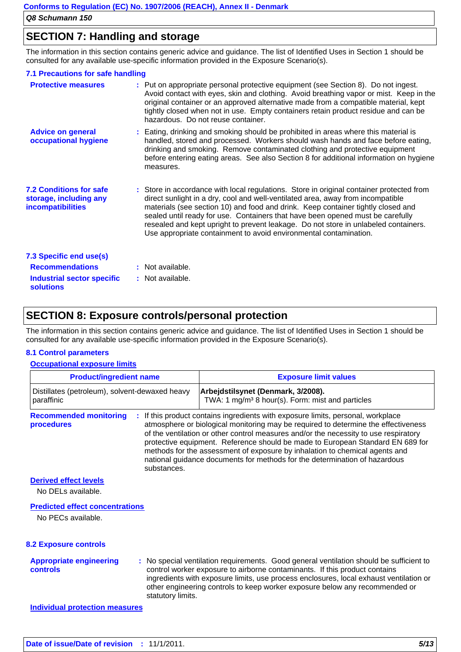### **SECTION 7: Handling and storage**

The information in this section contains generic advice and guidance. The list of Identified Uses in Section 1 should be consulted for any available use-specific information provided in the Exposure Scenario(s).

| 7.1 Precautions for safe handling                                                    |                                                                                                                                                                                                                                                                                                                                                                                                                                                                                                               |
|--------------------------------------------------------------------------------------|---------------------------------------------------------------------------------------------------------------------------------------------------------------------------------------------------------------------------------------------------------------------------------------------------------------------------------------------------------------------------------------------------------------------------------------------------------------------------------------------------------------|
| <b>Protective measures</b>                                                           | : Put on appropriate personal protective equipment (see Section 8). Do not ingest.<br>Avoid contact with eyes, skin and clothing. Avoid breathing vapor or mist. Keep in the<br>original container or an approved alternative made from a compatible material, kept<br>tightly closed when not in use. Empty containers retain product residue and can be<br>hazardous. Do not reuse container.                                                                                                               |
| <b>Advice on general</b><br>occupational hygiene                                     | : Eating, drinking and smoking should be prohibited in areas where this material is<br>handled, stored and processed. Workers should wash hands and face before eating,<br>drinking and smoking. Remove contaminated clothing and protective equipment<br>before entering eating areas. See also Section 8 for additional information on hygiene<br>measures.                                                                                                                                                 |
| <b>7.2 Conditions for safe</b><br>storage, including any<br><b>incompatibilities</b> | : Store in accordance with local regulations. Store in original container protected from<br>direct sunlight in a dry, cool and well-ventilated area, away from incompatible<br>materials (see section 10) and food and drink. Keep container tightly closed and<br>sealed until ready for use. Containers that have been opened must be carefully<br>resealed and kept upright to prevent leakage. Do not store in unlabeled containers.<br>Use appropriate containment to avoid environmental contamination. |
| 7.3 Specific end use(s)                                                              |                                                                                                                                                                                                                                                                                                                                                                                                                                                                                                               |
| <b>Recommendations</b>                                                               | : Not available.                                                                                                                                                                                                                                                                                                                                                                                                                                                                                              |
| Industrial sector specific<br><b>solutions</b>                                       | : Not available.                                                                                                                                                                                                                                                                                                                                                                                                                                                                                              |

### **SECTION 8: Exposure controls/personal protection**

The information in this section contains generic advice and guidance. The list of Identified Uses in Section 1 should be consulted for any available use-specific information provided in the Exposure Scenario(s).

#### **8.1 Control parameters**

#### **Occupational exposure limits**

| <b>Product/ingredient name</b>                               | <b>Exposure limit values</b>                                                                                                                                                                                                                                                                                                                                                                                                                                                                                  |
|--------------------------------------------------------------|---------------------------------------------------------------------------------------------------------------------------------------------------------------------------------------------------------------------------------------------------------------------------------------------------------------------------------------------------------------------------------------------------------------------------------------------------------------------------------------------------------------|
| Distillates (petroleum), solvent-dewaxed heavy<br>paraffinic | Arbejdstilsynet (Denmark, 3/2008).<br>TWA: 1 mg/m <sup>3</sup> 8 hour(s). Form: mist and particles                                                                                                                                                                                                                                                                                                                                                                                                            |
| <b>Recommended monitoring</b><br>procedures<br>substances.   | : If this product contains ingredients with exposure limits, personal, workplace<br>atmosphere or biological monitoring may be required to determine the effectiveness<br>of the ventilation or other control measures and/or the necessity to use respiratory<br>protective equipment. Reference should be made to European Standard EN 689 for<br>methods for the assessment of exposure by inhalation to chemical agents and<br>national guidance documents for methods for the determination of hazardous |
| <b>Derived effect levels</b><br>No DELs available.           |                                                                                                                                                                                                                                                                                                                                                                                                                                                                                                               |
| <b>Predicted effect concentrations</b><br>No PECs available. |                                                                                                                                                                                                                                                                                                                                                                                                                                                                                                               |

No PECs available.

#### **8.2 Exposure controls**

#### **Appropriate engineering controls :** No special ventilation requirements. Good general ventilation should be sufficient to control worker exposure to airborne contaminants. If this product contains ingredients with exposure limits, use process enclosures, local exhaust ventilation or other engineering controls to keep worker exposure below any recommended or statutory limits.

**Individual protection measures**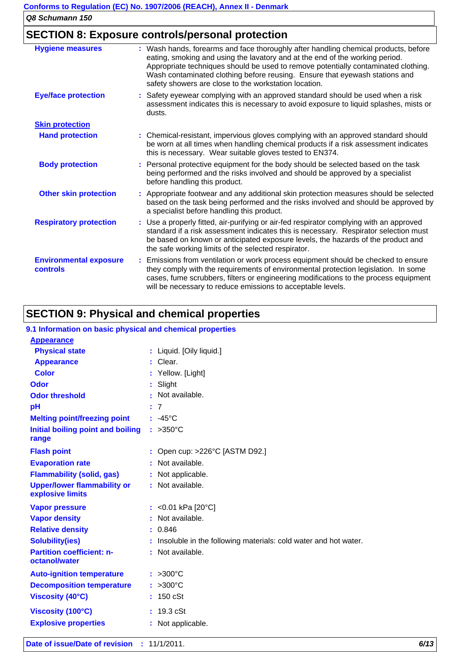## **SECTION 8: Exposure controls/personal protection**

| <b>Hygiene measures</b>                   | : Wash hands, forearms and face thoroughly after handling chemical products, before<br>eating, smoking and using the lavatory and at the end of the working period.<br>Appropriate techniques should be used to remove potentially contaminated clothing.<br>Wash contaminated clothing before reusing. Ensure that eyewash stations and<br>safety showers are close to the workstation location. |
|-------------------------------------------|---------------------------------------------------------------------------------------------------------------------------------------------------------------------------------------------------------------------------------------------------------------------------------------------------------------------------------------------------------------------------------------------------|
| <b>Eye/face protection</b>                | : Safety eyewear complying with an approved standard should be used when a risk<br>assessment indicates this is necessary to avoid exposure to liquid splashes, mists or<br>dusts.                                                                                                                                                                                                                |
| <b>Skin protection</b>                    |                                                                                                                                                                                                                                                                                                                                                                                                   |
| <b>Hand protection</b>                    | : Chemical-resistant, impervious gloves complying with an approved standard should<br>be worn at all times when handling chemical products if a risk assessment indicates<br>this is necessary. Wear suitable gloves tested to EN374.                                                                                                                                                             |
| <b>Body protection</b>                    | : Personal protective equipment for the body should be selected based on the task<br>being performed and the risks involved and should be approved by a specialist<br>before handling this product.                                                                                                                                                                                               |
| <b>Other skin protection</b>              | : Appropriate footwear and any additional skin protection measures should be selected<br>based on the task being performed and the risks involved and should be approved by<br>a specialist before handling this product.                                                                                                                                                                         |
| <b>Respiratory protection</b>             | : Use a properly fitted, air-purifying or air-fed respirator complying with an approved<br>standard if a risk assessment indicates this is necessary. Respirator selection must<br>be based on known or anticipated exposure levels, the hazards of the product and<br>the safe working limits of the selected respirator.                                                                        |
| <b>Environmental exposure</b><br>controls | : Emissions from ventilation or work process equipment should be checked to ensure<br>they comply with the requirements of environmental protection legislation. In some<br>cases, fume scrubbers, filters or engineering modifications to the process equipment<br>will be necessary to reduce emissions to acceptable levels.                                                                   |

## **SECTION 9: Physical and chemical properties**

| 9.1 Information on basic physical and chemical properties |                                                                   |
|-----------------------------------------------------------|-------------------------------------------------------------------|
| <b>Appearance</b>                                         |                                                                   |
| <b>Physical state</b>                                     | : Liquid. [Oily liquid.]                                          |
| <b>Appearance</b>                                         | : Clear.                                                          |
| <b>Color</b>                                              | : Yellow. [Light]                                                 |
| <b>Odor</b>                                               | : Slight                                                          |
| <b>Odor threshold</b>                                     | : Not available.                                                  |
| pH                                                        | : 7                                                               |
| <b>Melting point/freezing point</b>                       | $: -45^{\circ}$ C                                                 |
| Initial boiling point and boiling<br>range                | : $>350^{\circ}$ C                                                |
| <b>Flash point</b>                                        | : Open cup: >226°C [ASTM D92.]                                    |
| <b>Evaporation rate</b>                                   | : Not available.                                                  |
| <b>Flammability (solid, gas)</b>                          | : Not applicable.                                                 |
| <b>Upper/lower flammability or</b><br>explosive limits    | : Not available.                                                  |
| <b>Vapor pressure</b>                                     | : < $0.01$ kPa [20 $^{\circ}$ C]                                  |
| <b>Vapor density</b>                                      | : Not available.                                                  |
| <b>Relative density</b>                                   | : 0.846                                                           |
| <b>Solubility(ies)</b>                                    | : Insoluble in the following materials: cold water and hot water. |
| <b>Partition coefficient: n-</b><br>octanol/water         | : Not available.                                                  |
| <b>Auto-ignition temperature</b>                          | $: >300^{\circ}$ C                                                |
| <b>Decomposition temperature</b>                          | $: >300^{\circ}C$                                                 |
| <b>Viscosity (40°C)</b>                                   | : 150 cSt                                                         |
| Viscosity (100°C)                                         | : 19.3 cSt                                                        |
| <b>Explosive properties</b>                               | : Not applicable.                                                 |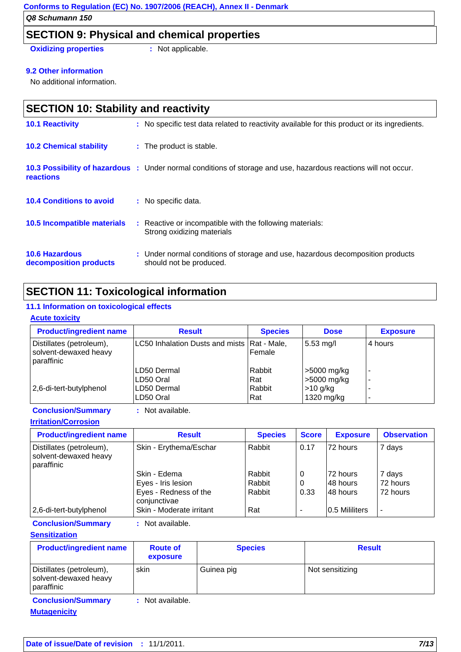### **SECTION 9: Physical and chemical properties**

**Oxidizing properties : Not applicable.** 

#### **9.2 Other information**

No additional information.

| <b>SECTION 10: Stability and reactivity</b>     |  |                                                                                                                 |  |  |
|-------------------------------------------------|--|-----------------------------------------------------------------------------------------------------------------|--|--|
| <b>10.1 Reactivity</b>                          |  | : No specific test data related to reactivity available for this product or its ingredients.                    |  |  |
| <b>10.2 Chemical stability</b>                  |  | : The product is stable.                                                                                        |  |  |
| <b>reactions</b>                                |  | 10.3 Possibility of hazardous : Under normal conditions of storage and use, hazardous reactions will not occur. |  |  |
| <b>10.4 Conditions to avoid</b>                 |  | : No specific data.                                                                                             |  |  |
| 10.5 Incompatible materials                     |  | : Reactive or incompatible with the following materials:<br>Strong oxidizing materials                          |  |  |
| <b>10.6 Hazardous</b><br>decomposition products |  | : Under normal conditions of storage and use, hazardous decomposition products<br>should not be produced.       |  |  |

## **SECTION 11: Toxicological information**

#### **11.1 Information on toxicological effects**

#### **Acute toxicity**

| <b>Product/ingredient name</b>                                  | <b>Result</b>                                 | <b>Species</b> | <b>Dose</b>         | <b>Exposure</b>          |
|-----------------------------------------------------------------|-----------------------------------------------|----------------|---------------------|--------------------------|
| Distillates (petroleum),<br>solvent-dewaxed heavy<br>paraffinic | LC50 Inhalation Dusts and mists   Rat - Male, | l Female       | $5.53 \text{ mg/l}$ | 4 hours                  |
|                                                                 | ILD50 Dermal                                  | Rabbit         | >5000 mg/kg         | $\sim$                   |
|                                                                 | ILD50 Oral                                    | l Rat          | >5000 mg/kg         | $\overline{\phantom{a}}$ |
| 2,6-di-tert-butylphenol                                         | ILD50 Dermal                                  | Rabbit         | $>10$ g/kg          |                          |
|                                                                 | ILD50 Oral                                    | l Rat          | 1320 mg/kg          |                          |

**Conclusion/Summary :** Not available.

**Irritation/Corrosion**

| <b>Product/ingredient name</b>                                  | <b>Result</b>                         | <b>Species</b> | <b>Score</b> | <b>Exposure</b> | <b>Observation</b> |
|-----------------------------------------------------------------|---------------------------------------|----------------|--------------|-----------------|--------------------|
| Distillates (petroleum),<br>solvent-dewaxed heavy<br>paraffinic | Skin - Erythema/Eschar                | Rabbit         | 0.17         | 72 hours        | 7 days             |
|                                                                 | Skin - Edema                          | Rabbit         | 0            | l72 hours       | 7 days             |
|                                                                 | Eyes - Iris lesion                    | Rabbit         | 0            | 148 hours       | 72 hours           |
|                                                                 | Eyes - Redness of the<br>conjunctivae | Rabbit         | 0.33         | 48 hours        | 72 hours           |
| 2,6-di-tert-butylphenol                                         | Skin - Moderate irritant              | Rat            |              | 0.5 Mililiters  |                    |

**Conclusion/Summary :** Not available.

#### **Sensitization**

| <b>Product/ingredient name</b>                                  | <b>Route of</b><br>exposure | <b>Species</b> | <b>Result</b>   |
|-----------------------------------------------------------------|-----------------------------|----------------|-----------------|
| Distillates (petroleum),<br>solvent-dewaxed heavy<br>paraffinic | skin                        | Guinea pig     | Not sensitizing |
| <b>Conclusion/Summary</b>                                       | : Not available.            |                |                 |

**Mutagenicity**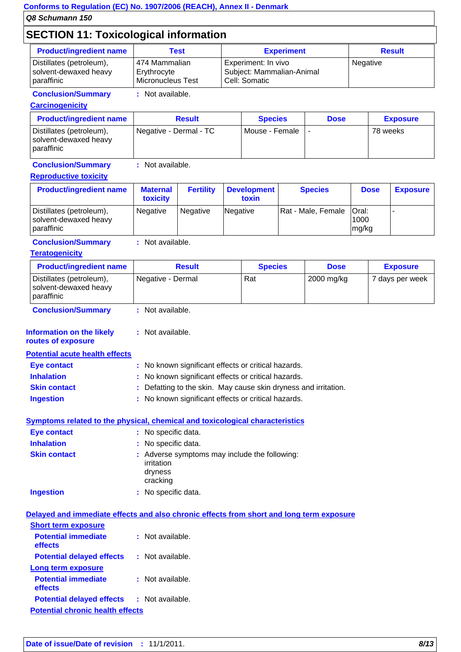## **SECTION 11: Toxicological information**

| <b>Product/ingredient name</b> | Test                     | <b>Experiment</b>         | <b>Result</b> |
|--------------------------------|--------------------------|---------------------------|---------------|
| Distillates (petroleum),       | 474 Mammalian            | Experiment: In vivo       | Negative      |
| solvent-dewaxed heavy          | Erythrocyte              | Subject: Mammalian-Animal |               |
| paraffinic                     | <b>Micronucleus Test</b> | Cell: Somatic             |               |

### **Conclusion/Summary :** Not available.

**Carcinogenicity**

| <b>Product/ingredient name</b>                                    | <b>Result</b>          | <b>Species</b> | <b>Dose</b> | <b>Exposure</b> |
|-------------------------------------------------------------------|------------------------|----------------|-------------|-----------------|
| Distillates (petroleum),<br>solvent-dewaxed heavy<br>I paraffinic | Negative - Dermal - TC | Mouse - Female |             | 78 weeks        |

### **Conclusion/Summary :** Not available.

#### **Reproductive toxicity**

| <b>Product/ingredient name</b>                                  | <b>Maternal</b><br>toxicity | <b>Fertility</b> | <b>Development</b><br>toxin | <b>Species</b>     | <b>Dose</b>                   | <b>Exposure</b> |
|-----------------------------------------------------------------|-----------------------------|------------------|-----------------------------|--------------------|-------------------------------|-----------------|
| Distillates (petroleum),<br>solvent-dewaxed heavy<br>paraffinic | Negative                    | <b>Negative</b>  | Negative                    | Rat - Male, Female | <b>Oral:</b><br>1000<br>mg/kg |                 |

#### **Conclusion/Summary :** Not available.

#### **Teratogenicity**

| <b>Product/ingredient name</b>                                    | <b>Result</b>     | <b>Species</b> | <b>Dose</b> | <b>Exposure</b> |
|-------------------------------------------------------------------|-------------------|----------------|-------------|-----------------|
| Distillates (petroleum),<br>solvent-dewaxed heavy<br>I paraffinic | Negative - Dermal | Rat            | 2000 mg/kg  | 7 days per week |
| <b>Conclusion/Summary</b>                                         | : Not available.  |                |             |                 |

#### **Information on the likely :**

**routes of exposure**

#### **Potential acute health effects**

| Eye contact         | : No known significant effects or critical hazards.             |
|---------------------|-----------------------------------------------------------------|
| <b>Inhalation</b>   | : No known significant effects or critical hazards.             |
| <b>Skin contact</b> | : Defatting to the skin. May cause skin dryness and irritation. |
| <b>Ingestion</b>    | : No known significant effects or critical hazards.             |

#### **Symptoms related to the physical, chemical and toxicological characteristics**

| Eye contact         | : No specific data.                                                                |
|---------------------|------------------------------------------------------------------------------------|
| <b>Inhalation</b>   | : No specific data.                                                                |
| <b>Skin contact</b> | : Adverse symptoms may include the following:<br>irritation<br>dryness<br>cracking |
| <b>Ingestion</b>    | : No specific data.                                                                |

#### **Delayed and immediate effects and also chronic effects from short and long term exposure**

| <b>Short term exposure</b>              |                  |
|-----------------------------------------|------------------|
| <b>Potential immediate</b><br>effects   | : Not available. |
| <b>Potential delayed effects</b>        | : Not available. |
| Long term exposure                      |                  |
| <b>Potential immediate</b><br>effects   | : Not available. |
| <b>Potential delayed effects</b>        | : Not available. |
| <b>Potential chronic health effects</b> |                  |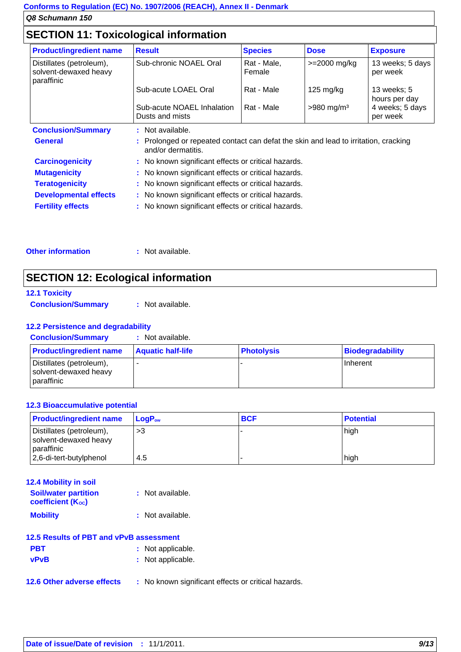## **SECTION 11: Toxicological information**

| <b>Product/ingredient name</b>                                  | <b>Result</b>                                                                                             | <b>Species</b>        | <b>Dose</b>              | <b>Exposure</b>              |
|-----------------------------------------------------------------|-----------------------------------------------------------------------------------------------------------|-----------------------|--------------------------|------------------------------|
| Distillates (petroleum),<br>solvent-dewaxed heavy<br>paraffinic | Sub-chronic NOAEL Oral                                                                                    | Rat - Male,<br>Female | $>=$ 2000 mg/kg          | 13 weeks; 5 days<br>per week |
|                                                                 | Sub-acute LOAEL Oral                                                                                      | Rat - Male            | $125 \text{ mg/kg}$      | 13 weeks; 5<br>hours per day |
|                                                                 | Sub-acute NOAEL Inhalation<br>Dusts and mists                                                             | Rat - Male            | $>980$ mg/m <sup>3</sup> | 4 weeks; 5 days<br>per week  |
| <b>Conclusion/Summary</b>                                       | : Not available.                                                                                          |                       |                          |                              |
| <b>General</b>                                                  | : Prolonged or repeated contact can defat the skin and lead to irritation, cracking<br>and/or dermatitis. |                       |                          |                              |
| <b>Carcinogenicity</b>                                          | : No known significant effects or critical hazards.                                                       |                       |                          |                              |
| <b>Mutagenicity</b>                                             | : No known significant effects or critical hazards.                                                       |                       |                          |                              |
| <b>Teratogenicity</b>                                           | : No known significant effects or critical hazards.                                                       |                       |                          |                              |
| <b>Developmental effects</b>                                    | : No known significant effects or critical hazards.                                                       |                       |                          |                              |
| <b>Fertility effects</b>                                        | : No known significant effects or critical hazards.                                                       |                       |                          |                              |

#### **Other information :** Not available.

## **SECTION 12: Ecological information**

| <b>12.1 Toxicity</b>      |                  |
|---------------------------|------------------|
| <b>Conclusion/Summary</b> | : Not available. |

#### **12.2 Persistence and degradability**

| <b>Conclusion/Summary</b> | Not available. |
|---------------------------|----------------|
|                           |                |
|                           |                |

| <b>Product/ingredient name</b>                                         | <b>Aquatic half-life</b> | <b>Photolysis</b> | Biodegradability |
|------------------------------------------------------------------------|--------------------------|-------------------|------------------|
| Distillates (petroleum),<br>solvent-dewaxed heavy<br><b>paraffinic</b> |                          |                   | Inherent         |

#### **12.3 Bioaccumulative potential**

| <b>Product/ingredient name</b>                                  | $LoaPow$ | <b>BCF</b> | <b>Potential</b> |
|-----------------------------------------------------------------|----------|------------|------------------|
| Distillates (petroleum),<br>solvent-dewaxed heavy<br>paraffinic | >3       |            | high             |
| 2,6-di-tert-butylphenol                                         | -4.5     |            | high             |

| <b>12.4 Mobility in soil</b>                            |                                                     |
|---------------------------------------------------------|-----------------------------------------------------|
| <b>Soil/water partition</b><br><b>coefficient (Koc)</b> | : Not available.                                    |
| <b>Mobility</b>                                         | : Not available.                                    |
| 12.5 Results of PBT and vPvB assessment                 |                                                     |
| <b>PBT</b>                                              | : Not applicable.                                   |
| <b>vPvB</b>                                             | : Not applicable.                                   |
| 12.6 Other adverse effects                              | : No known significant effects or critical hazards. |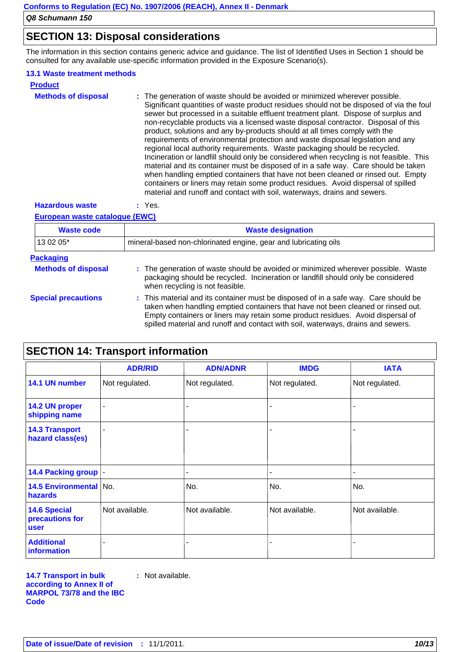### **SECTION 13: Disposal considerations**

The information in this section contains generic advice and guidance. The list of Identified Uses in Section 1 should be consulted for any available use-specific information provided in the Exposure Scenario(s).

#### **13.1 Waste treatment methods**

| <b>Product</b>             |                                                                                                                                                                                                                                                                                                                                                                                                                                                                                                                                                                                                                                                                                                                                                                                                                                                                                                                                                                                                                                         |
|----------------------------|-----------------------------------------------------------------------------------------------------------------------------------------------------------------------------------------------------------------------------------------------------------------------------------------------------------------------------------------------------------------------------------------------------------------------------------------------------------------------------------------------------------------------------------------------------------------------------------------------------------------------------------------------------------------------------------------------------------------------------------------------------------------------------------------------------------------------------------------------------------------------------------------------------------------------------------------------------------------------------------------------------------------------------------------|
| <b>Methods of disposal</b> | : The generation of waste should be avoided or minimized wherever possible.<br>Significant quantities of waste product residues should not be disposed of via the foul<br>sewer but processed in a suitable effluent treatment plant. Dispose of surplus and<br>non-recyclable products via a licensed waste disposal contractor. Disposal of this<br>product, solutions and any by-products should at all times comply with the<br>requirements of environmental protection and waste disposal legislation and any<br>regional local authority requirements. Waste packaging should be recycled.<br>Incineration or landfill should only be considered when recycling is not feasible. This<br>material and its container must be disposed of in a safe way. Care should be taken<br>when handling emptied containers that have not been cleaned or rinsed out. Empty<br>containers or liners may retain some product residues. Avoid dispersal of spilled<br>material and runoff and contact with soil, waterways, drains and sewers. |
|                            |                                                                                                                                                                                                                                                                                                                                                                                                                                                                                                                                                                                                                                                                                                                                                                                                                                                                                                                                                                                                                                         |

### **Hazardous waste :** Yes.

#### **European waste catalogue (EWC)**

| <b>Waste code</b>          | <b>Waste designation</b><br>mineral-based non-chlorinated engine, gear and lubricating oils                                                                                                                                                                                                                                                    |  |  |
|----------------------------|------------------------------------------------------------------------------------------------------------------------------------------------------------------------------------------------------------------------------------------------------------------------------------------------------------------------------------------------|--|--|
| 13 02 05*                  |                                                                                                                                                                                                                                                                                                                                                |  |  |
| <b>Packaging</b>           |                                                                                                                                                                                                                                                                                                                                                |  |  |
| <b>Methods of disposal</b> | : The generation of waste should be avoided or minimized wherever possible. Waste<br>packaging should be recycled. Incineration or landfill should only be considered<br>when recycling is not feasible.                                                                                                                                       |  |  |
| <b>Special precautions</b> | : This material and its container must be disposed of in a safe way. Care should be<br>taken when handling emptied containers that have not been cleaned or rinsed out.<br>Empty containers or liners may retain some product residues. Avoid dispersal of<br>spilled material and runoff and contact with soil, waterways, drains and sewers. |  |  |

## **SECTION 14: Transport information**

|                                                       | <b>ADR/RID</b> | <b>ADN/ADNR</b> | <b>IMDG</b>    | <b>IATA</b>    |
|-------------------------------------------------------|----------------|-----------------|----------------|----------------|
| 14.1 UN number                                        | Not regulated. | Not regulated.  | Not regulated. | Not regulated. |
| 14.2 UN proper<br>shipping name                       | $\blacksquare$ |                 |                |                |
| <b>14.3 Transport</b><br>hazard class(es)             | $\blacksquare$ |                 |                |                |
| 14.4 Packing group                                    |                |                 |                |                |
| 14.5 Environmental No.<br>hazards                     |                | No.             | No.            | No.            |
| <b>14.6 Special</b><br>precautions for<br><b>user</b> | Not available. | Not available.  | Not available. | Not available. |
| <b>Additional</b><br>information                      |                |                 |                |                |

**14.7 Transport in bulk according to Annex II of MARPOL 73/78 and the IBC Code :** Not available.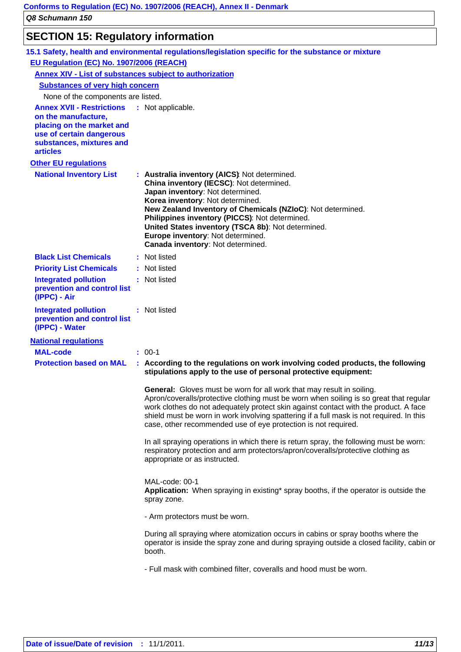## **SECTION 15: Regulatory information**

|                                                                                                                                                                                   | 15.1 Safety, health and environmental regulations/legislation specific for the substance or mixture                                                                                                                                                                                                                                                                                                                          |
|-----------------------------------------------------------------------------------------------------------------------------------------------------------------------------------|------------------------------------------------------------------------------------------------------------------------------------------------------------------------------------------------------------------------------------------------------------------------------------------------------------------------------------------------------------------------------------------------------------------------------|
| EU Regulation (EC) No. 1907/2006 (REACH)                                                                                                                                          |                                                                                                                                                                                                                                                                                                                                                                                                                              |
| Annex XIV - List of substances subject to authorization                                                                                                                           |                                                                                                                                                                                                                                                                                                                                                                                                                              |
| <b>Substances of very high concern</b>                                                                                                                                            |                                                                                                                                                                                                                                                                                                                                                                                                                              |
| None of the components are listed.                                                                                                                                                |                                                                                                                                                                                                                                                                                                                                                                                                                              |
| <b>Annex XVII - Restrictions : Not applicable.</b><br>on the manufacture,<br>placing on the market and<br>use of certain dangerous<br>substances, mixtures and<br><b>articles</b> |                                                                                                                                                                                                                                                                                                                                                                                                                              |
| <b>Other EU regulations</b>                                                                                                                                                       |                                                                                                                                                                                                                                                                                                                                                                                                                              |
| <b>National Inventory List</b>                                                                                                                                                    | : Australia inventory (AICS): Not determined.<br>China inventory (IECSC): Not determined.<br>Japan inventory: Not determined.<br>Korea inventory: Not determined.<br>New Zealand Inventory of Chemicals (NZIoC): Not determined.<br>Philippines inventory (PICCS): Not determined.<br>United States inventory (TSCA 8b): Not determined.<br>Europe inventory: Not determined.<br>Canada inventory: Not determined.           |
| <b>Black List Chemicals</b>                                                                                                                                                       | : Not listed                                                                                                                                                                                                                                                                                                                                                                                                                 |
| <b>Priority List Chemicals</b>                                                                                                                                                    | : Not listed                                                                                                                                                                                                                                                                                                                                                                                                                 |
| <b>Integrated pollution</b><br>prevention and control list<br>(IPPC) - Air                                                                                                        | : Not listed                                                                                                                                                                                                                                                                                                                                                                                                                 |
| <b>Integrated pollution</b><br>prevention and control list<br>(IPPC) - Water                                                                                                      | : Not listed                                                                                                                                                                                                                                                                                                                                                                                                                 |
| <b>National regulations</b>                                                                                                                                                       |                                                                                                                                                                                                                                                                                                                                                                                                                              |
| <b>MAL-code</b>                                                                                                                                                                   | $: 00-1$                                                                                                                                                                                                                                                                                                                                                                                                                     |
| <b>Protection based on MAL</b>                                                                                                                                                    | : According to the regulations on work involving coded products, the following<br>stipulations apply to the use of personal protective equipment:                                                                                                                                                                                                                                                                            |
|                                                                                                                                                                                   | <b>General:</b> Gloves must be worn for all work that may result in soiling.<br>Apron/coveralls/protective clothing must be worn when soiling is so great that regular<br>work clothes do not adequately protect skin against contact with the product. A face<br>shield must be worn in work involving spattering if a full mask is not required. In this<br>case, other recommended use of eye protection is not required. |
|                                                                                                                                                                                   | In all spraying operations in which there is return spray, the following must be worn:<br>respiratory protection and arm protectors/apron/coveralls/protective clothing as<br>appropriate or as instructed.                                                                                                                                                                                                                  |
|                                                                                                                                                                                   | MAL-code: 00-1<br>Application: When spraying in existing* spray booths, if the operator is outside the<br>spray zone.                                                                                                                                                                                                                                                                                                        |
|                                                                                                                                                                                   | - Arm protectors must be worn.                                                                                                                                                                                                                                                                                                                                                                                               |
|                                                                                                                                                                                   | During all spraying where atomization occurs in cabins or spray booths where the<br>operator is inside the spray zone and during spraying outside a closed facility, cabin or<br>booth.                                                                                                                                                                                                                                      |
|                                                                                                                                                                                   | - Full mask with combined filter, coveralls and hood must be worn.                                                                                                                                                                                                                                                                                                                                                           |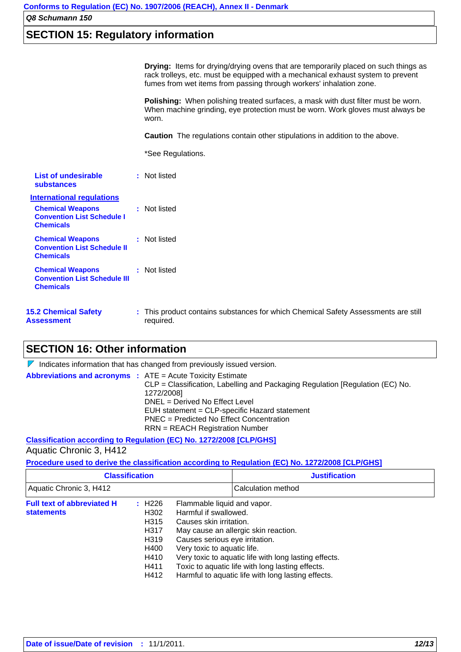## **SECTION 15: Regulatory information**

**Drying:** Items for drying/drying ovens that are temporarily placed on such things as rack trolleys, etc. must be equipped with a mechanical exhaust system to prevent fumes from wet items from passing through workers' inhalation zone.

**Polishing:** When polishing treated surfaces, a mask with dust filter must be worn. When machine grinding, eye protection must be worn. Work gloves must always be worn.

**Caution** The regulations contain other stipulations in addition to the above.

\*See Regulations.

| List of undesirable<br>substances                                                  | : Not listed                                                                                    |
|------------------------------------------------------------------------------------|-------------------------------------------------------------------------------------------------|
| <b>International regulations</b>                                                   |                                                                                                 |
| <b>Chemical Weapons</b><br><b>Convention List Schedule I</b><br><b>Chemicals</b>   | : Not listed                                                                                    |
| <b>Chemical Weapons</b><br><b>Convention List Schedule II</b><br><b>Chemicals</b>  | : Not listed                                                                                    |
| <b>Chemical Weapons</b><br><b>Convention List Schedule III</b><br><b>Chemicals</b> | : Not listed                                                                                    |
| <b>15.2 Chemical Safety</b><br>Assessment                                          | : This product contains substances for which Chemical Safety Assessments are still<br>required. |

### **SECTION 16: Other information**

| Indicates information that has changed from previously issued version.                                                                                                                                                                                                                                                                    |
|-------------------------------------------------------------------------------------------------------------------------------------------------------------------------------------------------------------------------------------------------------------------------------------------------------------------------------------------|
| <b>Abbreviations and acronyms :</b> ATE = Acute Toxicity Estimate<br>CLP = Classification, Labelling and Packaging Regulation [Regulation (EC) No.<br>1272/2008]<br>DNEL = Derived No Effect Level<br>EUH statement = CLP-specific Hazard statement<br>PNEC = Predicted No Effect Concentration<br><b>RRN</b> = REACH Registration Number |
|                                                                                                                                                                                                                                                                                                                                           |

**Classification according to Regulation (EC) No. 1272/2008 [CLP/GHS]** Aquatic Chronic 3, H412

**Procedure used to derive the classification according to Regulation (EC) No. 1272/2008 [CLP/GHS]**

|                                                        | <b>Classification</b>                                                | <b>Justification</b>                                                                                                                                                                                                                                                                                                                                        |
|--------------------------------------------------------|----------------------------------------------------------------------|-------------------------------------------------------------------------------------------------------------------------------------------------------------------------------------------------------------------------------------------------------------------------------------------------------------------------------------------------------------|
| Aquatic Chronic 3, H412                                |                                                                      | Calculation method                                                                                                                                                                                                                                                                                                                                          |
| <b>Full text of abbreviated H</b><br><b>statements</b> | H226<br>H302<br>H315<br>H317<br>H319<br>H400<br>H410<br>H411<br>H412 | Flammable liquid and vapor.<br>Harmful if swallowed.<br>Causes skin irritation.<br>May cause an allergic skin reaction.<br>Causes serious eye irritation.<br>Very toxic to aquatic life.<br>Very toxic to aquatic life with long lasting effects.<br>Toxic to aquatic life with long lasting effects.<br>Harmful to aquatic life with long lasting effects. |